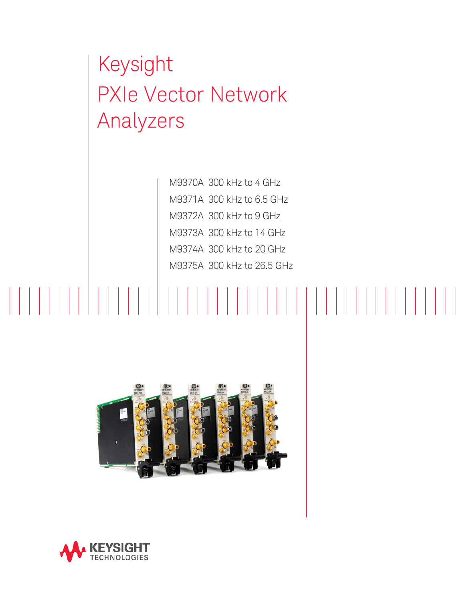# Keysight PXIe Vector Network Analyzers

M9370A 300 kHz to 4 GHz M9371A 300 kHz to 6.5 GHz M9372A 300 kHz to 9 GHz M9373A 300 kHz to 14 GHz M9374A 300 kHz to 20 GHz M9375A 300 kHz to 26.5 GHz



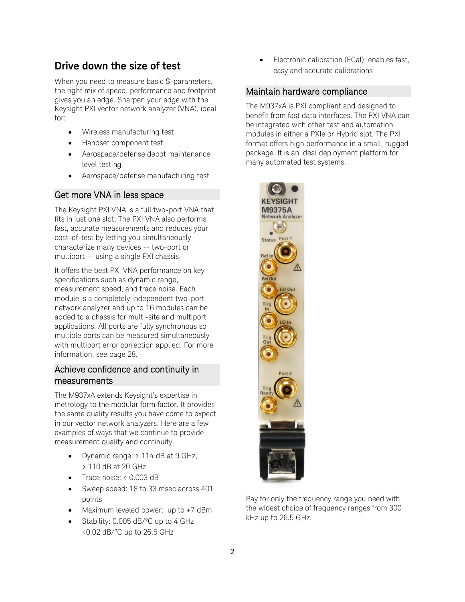### **Drive down the size of test**

When you need to measure basic S-parameters, the right mix of speed, performance and footprint gives you an edge. Sharpen your edge with the Keysight PXI vector network analyzer (VNA), ideal for:

- Wireless manufacturing test
- Handset component test
- Aerospace/defense depot maintenance level testing
- Aerospace/defense manufacturing test

#### Get more VNA in less space

The Keysight PXI VNA is a full two-port VNA that fits in just one slot. The PXI VNA also performs fast, accurate measurements and reduces your cost-of-test by letting you simultaneously characterize many devices -- two-port or multiport -- using a single PXI chassis.

It offers the best PXI VNA performance on key specifications such as dynamic range, measurement speed, and trace noise. Each module is a completely independent two-port network analyzer and up to 16 modules can be added to a chassis for multi-site and multiport applications. All ports are fully synchronous so multiple ports can be measured simultaneously with multiport error correction applied. For more information, see page [28.](#page-27-0)

#### Achieve confidence and continuity in measurements

The M937xA extends Keysight's expertise in metrology to the modular form factor. It provides the same quality results you have come to expect in our vector network analyzers. Here are a few examples of ways that we continue to provide measurement quality and continuity.

- Dynamic range: > 114 dB at 9 GHz, > 110 dB at 20 GHz
- Trace noise: < 0.003 dB
- Sweep speed: 18 to 33 msec across 401 points
- Maximum leveled power: up to +7 dBm
- Stability: 0.005 dB/°C up to 4 GHz <0.02 dB/°C up to 26.5 GHz

• Electronic calibration (ECal): enables fast, easy and accurate calibrations

#### Maintain hardware compliance

The M937xA is PXI compliant and designed to benefit from fast data interfaces. The PXI VNA can be integrated with other test and automation modules in either a PXIe or Hybrid slot. The PXI format offers high performance in a small, rugged package. It is an ideal deployment platform for many automated test systems.



Pay for only the frequency range you need with the widest choice of frequency ranges from 300 kHz up to 26.5 GHz.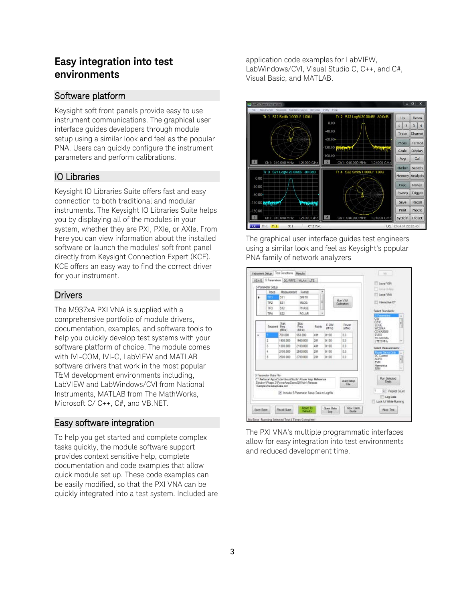### **Easy integration into test environments**

#### Software platform

Keysight soft front panels provide easy to use instrument communications. The graphical user interface guides developers through module setup using a similar look and feel as the popular PNA. Users can quickly configure the instrument parameters and perform calibrations.

#### IO Libraries

Keysight IO Libraries Suite offers fast and easy connection to both traditional and modular instruments. The Keysight IO Libraries Suite helps you by displaying all of the modules in your system, whether they are PXI, PXIe, or AXIe. From here you can view information about the installed software or launch the modules' soft front panel directly from Keysight Connection Expert (KCE). KCE offers an easy way to find the correct driver for your instrument.

#### **Drivers**

The M937xA PXI VNA is supplied with a comprehensive portfolio of module drivers, documentation, examples, and software tools to help you quickly develop test systems with your software platform of choice. The module comes with IVI-COM, IVI-C, LabVIEW and MATLAB software drivers that work in the most popular T&M development environments including, LabVIEW and LabWindows/CVI from National Instruments, MATLAB from The MathWorks, Microsoft C/ C++, C#, and VB.NET.

#### Easy software integration

To help you get started and complete complex tasks quickly, the module software support provides context sensitive help, complete documentation and code examples that allow quick module set up. These code examples can be easily modified, so that the PXI VNA can be quickly integrated into a test system. Included are

application code examples for LabVIEW, LabWindows/CVI, Visual Studio C, C++, and C#, Visual Basic, and MATLAB.



The graphical user interface guides test engineers using a similar look and feel as Keysight's popular PNA family of network analyzers

|   | 5 Parameter Setup                                   |                                                                                                                                                       |                      |        |                              |                         | Local Volkis                                                                                             |
|---|-----------------------------------------------------|-------------------------------------------------------------------------------------------------------------------------------------------------------|----------------------|--------|------------------------------|-------------------------|----------------------------------------------------------------------------------------------------------|
|   | Trace                                               | Measurement                                                                                                                                           | Fornat               | ۰      |                              |                         | Local VIVA                                                                                               |
| ٠ | m                                                   | 511                                                                                                                                                   | 528 TH               |        |                              | Run Vitati              |                                                                                                          |
|   | TR2                                                 | 521                                                                                                                                                   | MICIG                | z      |                              | Californition           | Interactive ET                                                                                           |
|   | TR3                                                 | 512                                                                                                                                                   | PHASE                |        |                              |                         | Select Standards:                                                                                        |
|   | TR4                                                 | 522                                                                                                                                                   | POLAR                | é      |                              |                         | <b>Silver der</b>                                                                                        |
|   | Sequent Freq                                        | Suit<br>(MHz)                                                                                                                                         | Stop-<br>Rw1<br>8440 | Fointe | <b>IF DW</b><br><b>PATES</b> | Payer<br>$k\text{D}(t)$ | CW<br>I<br>GSM<br>EDGE<br>O<br><b>WCDMA</b><br>CEMARIO                                                   |
| ٠ |                                                     | 700.000                                                                                                                                               | \$53,000             | xitt   | 0.198                        | bb <sup>1</sup>         | <b>EMDO</b>                                                                                              |
|   | ž                                                   | 1600,000                                                                                                                                              | 1900.008             | 20t    | 0.185                        | b'6                     | TD-SCIDMA<br>LTESM-b                                                                                     |
|   | 3                                                   | 1903.000                                                                                                                                              | 2100,000             | 431    | 0.108                        | bb <sup>1</sup>         | Select Meso involving                                                                                    |
|   | 4                                                   | 2150,000                                                                                                                                              | 2500,000             | 201    | 0.188                        | b.b.                    | Payer Security                                                                                           |
|   | 5                                                   | 2500,000                                                                                                                                              | 2700,000             | 201    | 0.100                        | D.O.                    | DC Current<br>ì<br><b>ACPR</b><br>J<br>EVR<br>Hamproca                                                   |
|   | S Personator Data File<br>GengleWra Setup Data cars | C. Seforce AppliCode MeuslStudio Power App Reference<br>Sakdion/Phase 2/PowerAnpDemoGU('bin'/Relesse<br>W. Include S-Pergmater Setup Data in Log File |                      |        |                              | Load Setup<br>Re        | <b>CERS</b><br>۰<br>Run Selected<br>Tests<br>H<br>Repeat Court<br>۵÷<br>Log Date<br>Look U While Running |

The PXI VNA's multiple programmatic interfaces allow for easy integration into test environments and reduced development time.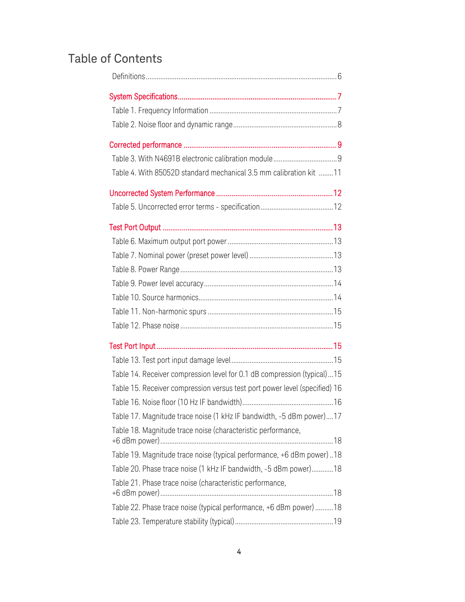## Table of Contents

| Table 4. With 85052D standard mechanical 3.5 mm calibration kit 11         |
|----------------------------------------------------------------------------|
|                                                                            |
|                                                                            |
|                                                                            |
|                                                                            |
|                                                                            |
|                                                                            |
|                                                                            |
|                                                                            |
|                                                                            |
|                                                                            |
|                                                                            |
|                                                                            |
| Table 14. Receiver compression level for 0.1 dB compression (typical)  15  |
| Table 15. Receiver compression versus test port power level (specified) 16 |
|                                                                            |
| Table 17. Magnitude trace noise (1 kHz IF bandwidth, -5 dBm power)17       |
| Table 18. Magnitude trace noise (characteristic performance,               |
| Table 19. Magnitude trace noise (typical performance, +6 dBm power)  18    |
| Table 20. Phase trace noise (1 kHz IF bandwidth, -5 dBm power)18           |
| Table 21. Phase trace noise (characteristic performance,                   |
| Table 22. Phase trace noise (typical performance, +6 dBm power)  18        |
|                                                                            |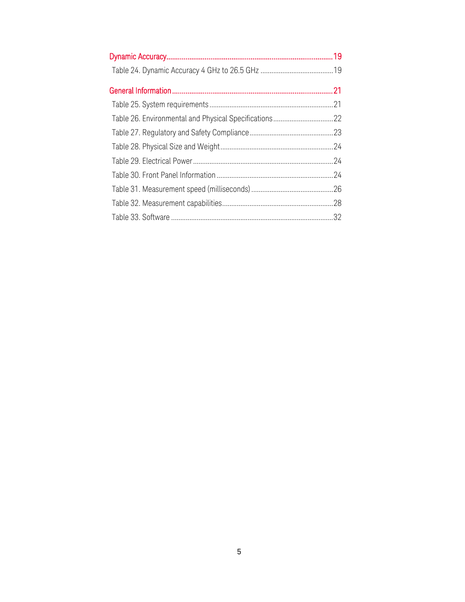| Table 26. Environmental and Physical Specifications22 |  |
|-------------------------------------------------------|--|
|                                                       |  |
|                                                       |  |
|                                                       |  |
|                                                       |  |
|                                                       |  |
|                                                       |  |
|                                                       |  |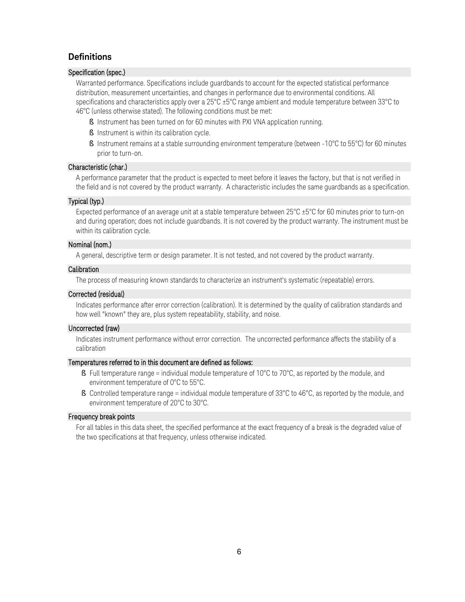#### <span id="page-5-0"></span>**Definitions**

#### Specification (spec.)

Warranted performance. Specifications include guardbands to account for the expected statistical performance distribution, measurement uncertainties, and changes in performance due to environmental conditions. All specifications and characteristics apply over a 25°C ±5°C range ambient and module temperature between 33°C to 46°C (unless otherwise stated). The following conditions must be met:

- § Instrument has been turned on for 60 minutes with PXI VNA application running.
- § Instrument is within its calibration cycle.
- § Instrument remains at a stable surrounding environment temperature (between -10°C to 55°C) for 60 minutes prior to turn-on.

#### Characteristic (char.)

A performance parameter that the product is expected to meet before it leaves the factory, but that is not verified in the field and is not covered by the product warranty. A characteristic includes the same guardbands as a specification.

#### Typical (typ.)

Expected performance of an average unit at a stable temperature between 25°C ±5°C for 60 minutes prior to turn-on and during operation; does not include guardbands. It is not covered by the product warranty. The instrument must be within its calibration cycle.

#### Nominal (nom.)

A general, descriptive term or design parameter. It is not tested, and not covered by the product warranty.

#### Calibration

The process of measuring known standards to characterize an instrument's systematic (repeatable) errors.

#### Corrected (residual)

Indicates performance after error correction (calibration). It is determined by the quality of calibration standards and how well "known" they are, plus system repeatability, stability, and noise.

#### Uncorrected (raw)

Indicates instrument performance without error correction. The uncorrected performance affects the stability of a calibration

#### Temperatures referred to in this document are defined as follows:

- § Full temperature range = individual module temperature of 10°C to 70°C, as reported by the module, and environment temperature of 0°C to 55°C.
- § Controlled temperature range = individual module temperature of 33°C to 46°C, as reported by the module, and environment temperature of 20°C to 30°C.

#### Frequency break points

For all tables in this data sheet, the specified performance at the exact frequency of a break is the degraded value of the two specifications at that frequency, unless otherwise indicated.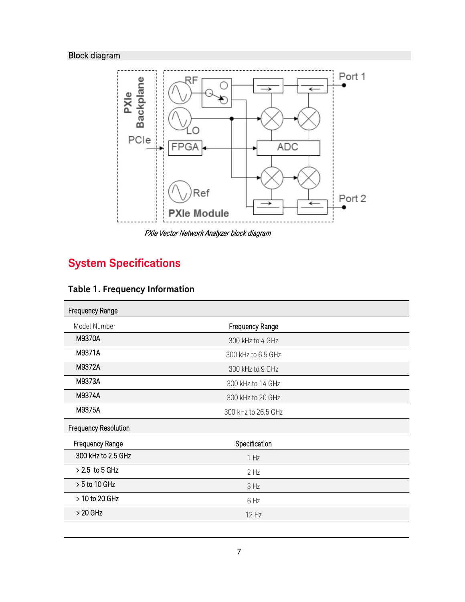### Block diagram



PXIe Vector Network Analyzer block diagram

## <span id="page-6-0"></span>**System Specifications**

<span id="page-6-1"></span>

| <b>Table 1. Frequency Information</b> |  |
|---------------------------------------|--|
|---------------------------------------|--|

| Frequency Range             |                        |  |
|-----------------------------|------------------------|--|
| Model Number                | <b>Frequency Range</b> |  |
| M9370A                      | 300 kHz to 4 GHz       |  |
| M9371A                      | 300 kHz to 6.5 GHz     |  |
| M9372A                      | 300 kHz to 9 GHz       |  |
| M9373A                      | 300 kHz to 14 GHz      |  |
| M9374A                      | 300 kHz to 20 GHz      |  |
| M9375A                      | 300 kHz to 26.5 GHz    |  |
| <b>Frequency Resolution</b> |                        |  |
| <b>Frequency Range</b>      | Specification          |  |
| 300 kHz to 2.5 GHz          | 1 Hz                   |  |
| $> 2.5$ to 5 GHz            | 2 <sub>Hz</sub>        |  |
| $> 5$ to 10 GHz             | 3 Hz                   |  |
| > 10 to 20 GHz              | 6 Hz                   |  |
| $>20$ GHz                   | 12 Hz                  |  |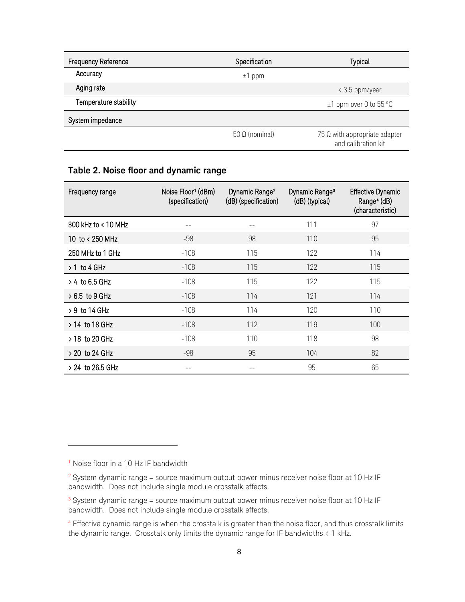| Frequency Reference   | Specification         | <b>Typical</b>                                       |
|-----------------------|-----------------------|------------------------------------------------------|
| Accuracy              | $±1$ ppm              |                                                      |
| Aging rate            |                       | < 3.5 ppm/year                                       |
| Temperature stability |                       | $±1$ ppm over 0 to 55 °C                             |
| System impedance      |                       |                                                      |
|                       | $50 \Omega$ (nominal) | 75 Ω with appropriate adapter<br>and calibration kit |

#### <span id="page-7-0"></span>**Table 2. Noise floor and dynamic range**

| Frequency range     | Noise Floor <sup>1</sup> (dBm)<br>(specification) | Dynamic Range <sup>2</sup><br>(dB) (specification) | Dynamic Range <sup>3</sup><br>(dB) (typical) | <b>Effective Dynamic</b><br>Range <sup>4</sup> (dB)<br>(characteristic) |
|---------------------|---------------------------------------------------|----------------------------------------------------|----------------------------------------------|-------------------------------------------------------------------------|
| 300 kHz to < 10 MHz |                                                   |                                                    | 111                                          | 97                                                                      |
| 10 to < 250 MHz     | -98                                               | 98                                                 | 110                                          | 95                                                                      |
| 250 MHz to 1 GHz    | $-108$                                            | 115                                                | 122                                          | 114                                                                     |
| $> 1$ to 4 GHz      | $-108$                                            | 115                                                | 122                                          | 115                                                                     |
| $> 4$ to 6.5 GHz    | $-108$                                            | 115                                                | 122                                          | 115                                                                     |
| $>6.5$ to 9 GHz     | $-108$                                            | 114                                                | 121                                          | 114                                                                     |
| $>9$ to 14 GHz      | $-108$                                            | 114                                                | 120                                          | 110                                                                     |
| $> 14$ to 18 GHz    | $-108$                                            | 112                                                | 119                                          | 100                                                                     |
| $> 18$ to 20 GHz    | $-108$                                            | 110                                                | 118                                          | 98                                                                      |
| > 20 to 24 GHz      | -98                                               | 95                                                 | 104                                          | 82                                                                      |
| $> 24$ to 26.5 GHz  |                                                   |                                                    | 95                                           | 65                                                                      |

j

<span id="page-7-1"></span><sup>&</sup>lt;sup>1</sup> Noise floor in a 10 Hz IF bandwidth

<span id="page-7-2"></span> $^2$  System dynamic range = source maximum output power minus receiver noise floor at 10 Hz IF bandwidth. Does not include single module crosstalk effects.

<span id="page-7-3"></span> $3$  System dynamic range = source maximum output power minus receiver noise floor at 10 Hz IF bandwidth. Does not include single module crosstalk effects.

<span id="page-7-4"></span><sup>&</sup>lt;sup>4</sup> Effective dynamic range is when the crosstalk is greater than the noise floor, and thus crosstalk limits the dynamic range. Crosstalk only limits the dynamic range for IF bandwidths < 1 kHz.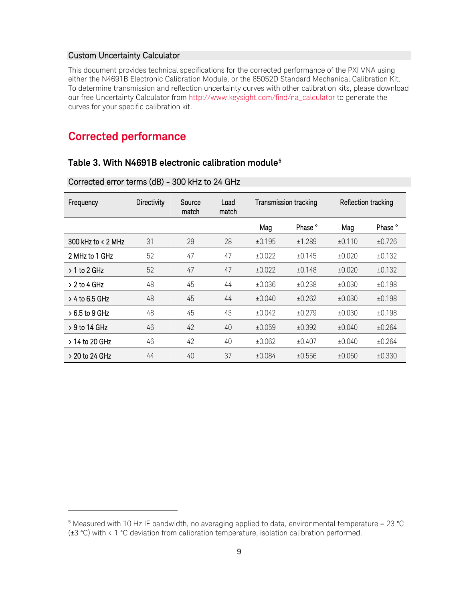#### Custom Uncertainty Calculator

This document provides technical specifications for the corrected performance of the PXI VNA using either the N4691B Electronic Calibration Module, or the 85052D Standard Mechanical Calibration Kit. To determine transmission and reflection uncertainty curves with other calibration kits, please download our free Uncertainty Calculator fro[m http://www.keysight.com/find/na\\_calculator](http://www.keysight.com/find/na_calculator) to generate the curves for your specific calibration kit.

### <span id="page-8-0"></span>**Corrected performance**

-

#### <span id="page-8-1"></span>**Table 3. With N4691B electronic calibration module[5](#page-8-2)**

Corrected error terms (dB) - 300 kHz to 24 GHz

| Frequency              | Directivity | Source<br>match | Load<br>match | Transmission tracking |                    | Reflection tracking |                    |
|------------------------|-------------|-----------------|---------------|-----------------------|--------------------|---------------------|--------------------|
|                        |             |                 |               | Mag                   | Phase <sup>°</sup> | Mag                 | Phase <sup>°</sup> |
| 300 kHz to $\lt$ 2 MHz | 31          | 29              | 28            | ±0.195                | ±1.289             | ±0.110              | ±0.726             |
| 2 MHz to 1 GHz         | 52          | 47              | 47            | ±0.022                | ±0.145             | ±0.020              | ±0.132             |
| $> 1$ to 2 GHz         | 52          | 47              | 47            | ±0.022                | ±0.148             | ±0.020              | ±0.132             |
| $> 2$ to 4 GHz         | 48          | 45              | 44            | ±0.036                | ±0.238             | ±0.030              | ±0.198             |
| $>$ 4 to 6.5 GHz       | 48          | 45              | 44            | ±0.040                | ±0.262             | ±0.030              | ±0.198             |
| $>6.5$ to 9 GHz        | 48          | 45              | 43            | ±0.042                | ±0.279             | ±0.030              | ±0.198             |
| $>9$ to 14 GHz         | 46          | 42              | 40            | ±0.059                | ±0.392             | ±0.040              | ±0.264             |
| $>$ 14 to 20 GHz       | 46          | 42              | 40            | ±0.062                | ±0.407             | ±0.040              | ±0.264             |
| $>$ 20 to 24 GHz       | 44          | 40              | 37            | ±0.084                | ±0.556             | ±0.050              | ±0.330             |

<span id="page-8-2"></span><sup>5</sup> Measured with 10 Hz IF bandwidth, no averaging applied to data, environmental temperature = 23 °C (±3 °C) with < 1 °C deviation from calibration temperature, isolation calibration performed.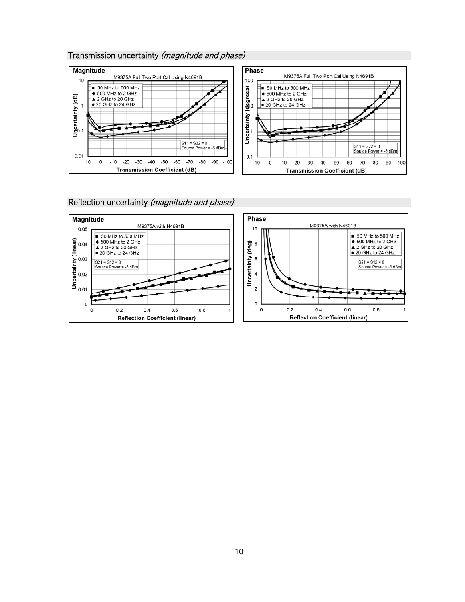#### Transmission uncertainty (magnitude and phase)



Reflection uncertainty (magnitude and phase)

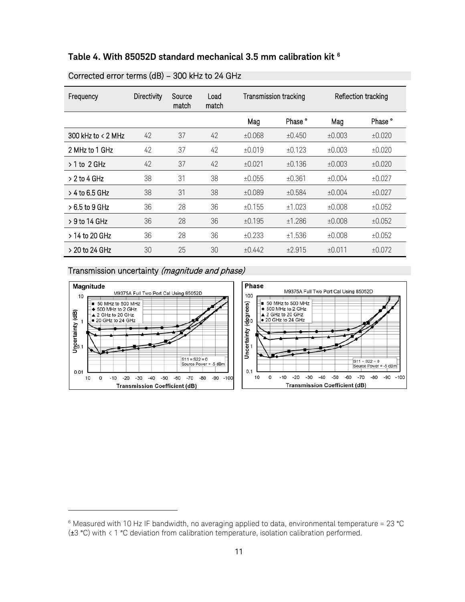<span id="page-10-0"></span>

| Table 4. With 85052D standard mechanical 3.5 mm calibration kit $^{\rm 6}$ |  |  |
|----------------------------------------------------------------------------|--|--|
|----------------------------------------------------------------------------|--|--|

| Frequency            | <b>Directivity</b> | Source<br>match | Load<br>match | Transmission tracking |                    | Reflection tracking |         |
|----------------------|--------------------|-----------------|---------------|-----------------------|--------------------|---------------------|---------|
|                      |                    |                 |               | Mag                   | Phase <sup>°</sup> | Mag                 | Phase ° |
| 300 kHz to $<$ 2 MHz | 42                 | 37              | 42            | ±0.068                | ±0.450             | ±0.003              | ±0.020  |
| 2 MHz to 1 GHz       | 42                 | 37              | 42            | ±0.019                | ±0.123             | ±0.003              | ±0.020  |
| $> 1$ to 2 GHz       | 42                 | 37              | 42            | ±0.021                | ±0.136             | ±0.003              | ±0.020  |
| $> 2$ to 4 GHz       | 38                 | 31              | 38            | ±0.055                | ±0.361             | ±0.004              | ±0.027  |
| $>$ 4 to 6.5 GHz     | 38                 | 31              | 38            | ±0.089                | ±0.584             | ±0.004              | ±0.027  |
| $>6.5$ to 9 GHz      | 36                 | 28              | 36            | ±0.155                | ±1.023             | ±0.008              | ±0.052  |
| $>9$ to 14 GHz       | 36                 | 28              | 36            | ±0.195                | ±1.286             | ±0.008              | ±0.052  |
| $> 14$ to 20 GHz     | 36                 | 28              | 36            | ±0.233                | ±1.536             | ±0.008              | ±0.052  |
| > 20 to 24 GHz       | 30                 | 25              | 30            | ±0.442                | ±2.915             | ±0.011              | ±0.072  |

#### Corrected error terms (dB) – 300 kHz to 24 GHz

#### Transmission uncertainty (magnitude and phase)

-



<span id="page-10-1"></span> $6$  Measured with 10 Hz IF bandwidth, no averaging applied to data, environmental temperature = 23 °C (±3 °C) with < 1 °C deviation from calibration temperature, isolation calibration performed.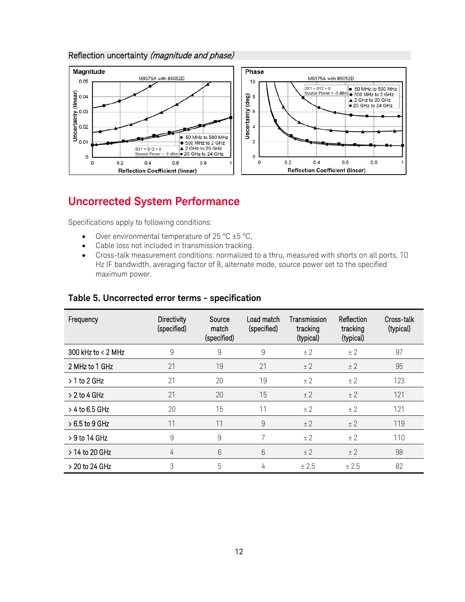#### Reflection uncertainty (magnitude and phase)



### <span id="page-11-0"></span>**Uncorrected System Performance**

Specifications apply to following conditions:

- Over environmental temperature of  $25^{\circ}$ C  $\pm 5^{\circ}$ C,
- Cable loss not included in transmission tracking.
- Cross-talk measurement conditions: normalized to a thru, measured with shorts on all ports, 10 Hz IF bandwidth, averaging factor of 8, alternate mode, source power set to the specified maximum power.

| Frequency            | <b>Directivity</b><br>(specified) | Source<br>match<br>(specified) | Load match<br>(specified) | Transmission<br>tracking<br>(typical) | Reflection<br>tracking<br>(typical) | Cross-talk<br>(typical) |
|----------------------|-----------------------------------|--------------------------------|---------------------------|---------------------------------------|-------------------------------------|-------------------------|
| 300 kHz to $<$ 2 MHz | 9                                 | 9                              | 9                         | ± 2                                   | ± 2                                 | 97                      |
| 2 MHz to 1 GHz       | 21                                | 19                             | 21                        | ± 2                                   | ± 2                                 | 95                      |
| $> 1$ to 2 GHz       | 21                                | 20                             | 19                        | ± 2                                   | ± 2                                 | 123                     |
| $> 2$ to 4 GHz       | 21                                | 20                             | 15                        | ± 2                                   | ± 2                                 | 121                     |
| $> 4$ to 6.5 GHz     | 20                                | 15                             | 11                        | ± 2                                   | ± 2                                 | 121                     |
| $>6.5$ to 9 GHz      | 11                                | 11                             | 9                         | ± 2                                   | ± 2                                 | 119                     |
| > 9 to 14 GHz        | 9                                 | 9                              | 7                         | ± 2                                   | ± 2                                 | 110                     |
| > 14 to 20 GHz       | 4                                 | 6                              | 6                         | ± 2                                   | ± 2                                 | 98                      |
| > 20 to 24 GHz       | 3                                 | 5                              | 4                         | ± 2.5                                 | ± 2.5                               | 82                      |

#### <span id="page-11-1"></span>**Table 5. Uncorrected error terms - specification**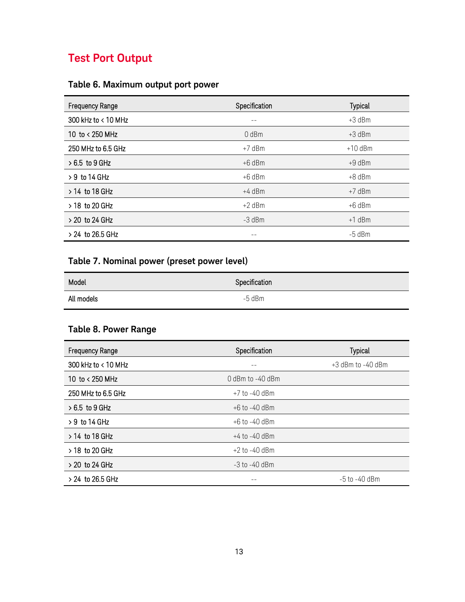### <span id="page-12-0"></span>**Test Port Output**

### <span id="page-12-1"></span>**Table 6. Maximum output port power**

| <b>Frequency Range</b> | Specification | <b>Typical</b> |
|------------------------|---------------|----------------|
| 300 kHz to < 10 MHz    |               | $+3$ dBm       |
| 10 to < 250 MHz        | $0$ dBm       | $+3$ dBm       |
| 250 MHz to 6.5 GHz     | $+7$ dBm      | $+10$ dBm      |
| $>6.5$ to 9 GHz        | $+6$ dBm      | $+9$ dBm       |
| $> 9$ to 14 GHz        | $+6$ dBm      | $+8$ dBm       |
| > 14 to 18 GHz         | $+4$ dBm      | $+7$ dBm       |
| > 18 to 20 GHz         | $+2$ dBm      | $+6$ dBm       |
| $> 20$ to 24 GHz       | -3 dBm        | $+1$ dBm       |
| $> 24$ to 26.5 GHz     |               | $-5$ dBm       |

### <span id="page-12-2"></span>**Table 7. Nominal power (preset power level)**

| ---        | __            |
|------------|---------------|
| Model      | Specification |
| All models | $-5$ dBm      |

### <span id="page-12-3"></span>**Table 8. Power Range**

| <b>Frequency Range</b> | Specification     | <b>Typical</b>      |
|------------------------|-------------------|---------------------|
| 300 kHz to < 10 MHz    | --                | $+3$ dBm to -40 dBm |
| 10 to < 250 MHz        | 0 dBm to -40 dBm  |                     |
| 250 MHz to 6.5 GHz     | +7 to -40 dBm     |                     |
| $>6.5$ to 9 GHz        | $+6$ to $-40$ dBm |                     |
| $>9$ to 14 GHz         | $+6$ to $-40$ dBm |                     |
| $> 14$ to 18 GHz       | $+4$ to -40 dBm   |                     |
| $>$ 18 to 20 GHz       | $+2$ to -40 dBm   |                     |
| $> 20$ to 24 GHz       | $-3$ to $-40$ dBm |                     |
| $> 24$ to 26.5 GHz     |                   | $-5$ to $-40$ dBm   |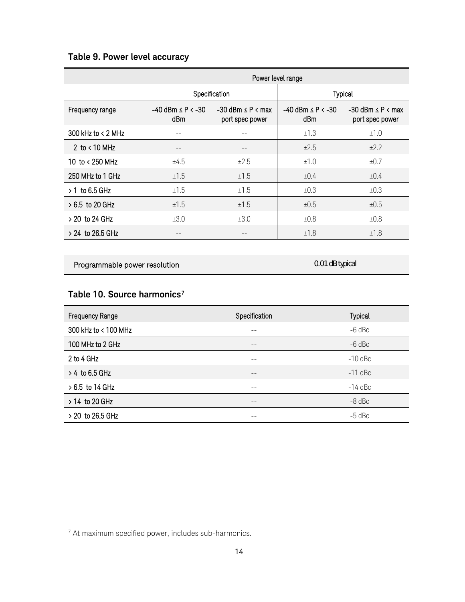### <span id="page-13-0"></span>**Table 9. Power level accuracy**

|                      | Power level range                    |                                                  |                                      |                                                  |
|----------------------|--------------------------------------|--------------------------------------------------|--------------------------------------|--------------------------------------------------|
|                      | Specification                        |                                                  |                                      | <b>Typical</b>                                   |
| Frequency range      | $-40$ dBm $\leq$ P $\leq$ -30<br>dBm | $-30$ dBm $\leq$ P $\leq$ max<br>port spec power | $-40$ dBm $\leq$ P $\leq$ -30<br>dBm | $-30$ dBm $\leq$ P $\leq$ max<br>port spec power |
| 300 kHz to $<$ 2 MHz |                                      |                                                  | ±1.3                                 | ±1.0                                             |
| 2 to $< 10$ MHz      |                                      |                                                  | ±2.5                                 | $\pm 2.2$                                        |
| 10 to < 250 MHz      | ±4.5                                 | ±2.5                                             | ±1.0                                 | ±0.7                                             |
| 250 MHz to 1 GHz     | ±1.5                                 | ±1.5                                             | $\pm 0.4$                            | ±0.4                                             |
| $>1$ to 6.5 GHz      | ±1.5                                 | ±1.5                                             | ±0.3                                 | ±0.3                                             |
| > 6.5 to 20 GHz      | ±1.5                                 | ±1.5                                             | ±0.5                                 | ±0.5                                             |
| > 20 to 24 GHz       | ±3.0                                 | ±3.0                                             | ±0.8                                 | ±0.8                                             |
| $> 24$ to 26.5 GHz   |                                      |                                                  | ±1.8                                 | ±1.8                                             |

Programmable power resolution and the contract of the contract of the contract of the contract of the contract of the contract of the contract of the contract of the contract of the contract of the contract of the contract

#### <span id="page-13-1"></span>**Table 10. Source harmonics[7](#page-13-2)**

| <b>Frequency Range</b> | Specification | <b>Typical</b> |
|------------------------|---------------|----------------|
| 300 kHz to < 100 MHz   | --            | $-6$ dBc       |
| 100 MHz to 2 GHz       | $- -$         | $-6$ dBc       |
| 2 to 4 GHz             | $- -$         | $-10$ dBc      |
| $> 4$ to 6.5 GHz       | --            | $-11$ dBc      |
| $>6.5$ to 14 GHz       | $ -$          | $-14$ dBc      |
| $> 14$ to 20 GHz       | --            | $-8$ dBc       |
| > 20 to 26.5 GHz       | --            | $-5$ dBc       |

-

<span id="page-13-2"></span><sup>7</sup> At maximum specified power, includes sub-harmonics.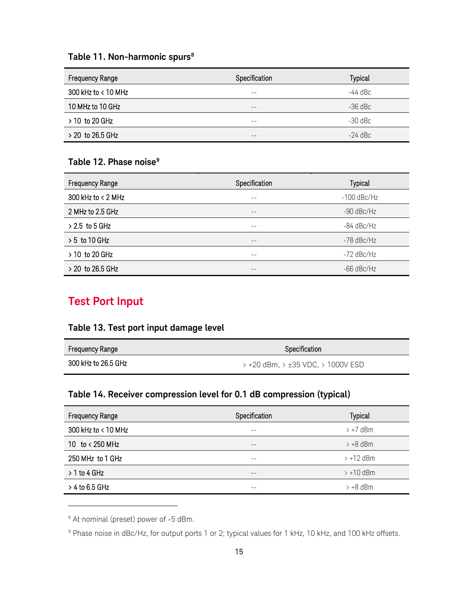#### <span id="page-14-0"></span>**Table 11. Non-harmonic spurs[8](#page-14-5)**

| Frequency Range     | Specification | <b>Typical</b> |
|---------------------|---------------|----------------|
| 300 kHz to < 10 MHz | --            | $-44$ dBc      |
| 10 MHz to 10 GHz    | --            | $-36$ dBc      |
| $> 10$ to 20 GHz    | --            | -30 dBc        |
| $>$ 20 to 26.5 GHz  | --            | $-24$ dBc      |

#### <span id="page-14-1"></span>**Table 12. Phase noise[9](#page-14-6)**

| <b>Frequency Range</b> | Specification | Typical       |
|------------------------|---------------|---------------|
| 300 kHz to $<$ 2 MHz   | $- -$         | $-100$ dBc/Hz |
| 2 MHz to 2.5 GHz       | $- -$         | $-90$ dBc/Hz  |
| $> 2.5$ to 5 GHz       | --            | -84 dBc/Hz    |
| $> 5$ to 10 GHz        | $- -$         | $-78$ dBc/Hz  |
| $> 10$ to 20 GHz       | --            | $-72$ dBc/Hz  |
| $>$ 20 to 26.5 GHz     |               | $-66$ dBc/Hz  |

### <span id="page-14-2"></span>**Test Port Input**

### <span id="page-14-3"></span>**Table 13. Test port input damage level**

| <b>Frequency Range</b> | Specification                                                         |  |
|------------------------|-----------------------------------------------------------------------|--|
| 300 kHz to 26.5 GHz    | $\rightarrow$ +20 dBm. $\rightarrow$ ±35 VDC. $\rightarrow$ 1000V ESD |  |

#### <span id="page-14-4"></span>**Table 14. Receiver compression level for 0.1 dB compression (typical)**

| <b>Frequency Range</b> | Specification | <b>Typical</b>       |
|------------------------|---------------|----------------------|
| 300 kHz to < 10 MHz    | $- -$         | $> +7$ dBm           |
| 10 to < 250 MHz        | $- -$         | $\rightarrow +8$ dBm |
| 250 MHz to 1 GHz       | --            | $> +12$ dBm          |
| $> 1$ to 4 GHz         | $ -$          | $> +10$ dBm          |
| $>$ 4 to 6.5 GHz       | --            | $> +8$ dBm           |

<span id="page-14-5"></span><sup>8</sup> At nominal (preset) power of -5 dBm.

j

<span id="page-14-6"></span><sup>&</sup>lt;sup>9</sup> Phase noise in dBc/Hz, for output ports 1 or 2; typical values for 1 kHz, 10 kHz, and 100 kHz offsets.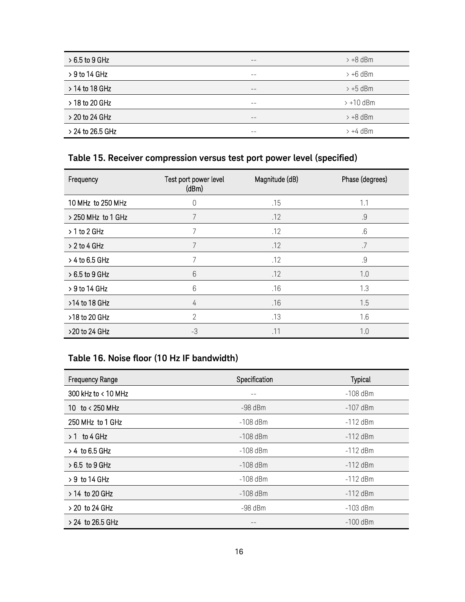| $>6.5$ to 9 GHz    | $- -$ | $> +8$ dBm           |
|--------------------|-------|----------------------|
| $>9$ to 14 GHz     | $- -$ | $\rightarrow$ +6 dBm |
| $> 14$ to 18 GHz   | $- -$ | $>+5$ dBm            |
| > 18 to 20 GHz     | --    | $> +10$ dBm          |
| > 20 to 24 GHz     | $- -$ | $>+8$ dBm            |
| $> 24$ to 26.5 GHz | --    | $>+4$ dBm            |

### <span id="page-15-0"></span>**Table 15. Receiver compression versus test port power level (specified)**

| Frequency          | Test port power level<br>(dBm) | Magnitude (dB) | Phase (degrees) |
|--------------------|--------------------------------|----------------|-----------------|
| 10 MHz to 250 MHz  | 0                              | .15            | 1.1             |
| > 250 MHz to 1 GHz | 7                              | .12            | .9              |
| $> 1$ to 2 GHz     | 7                              | .12            | $.6\,$          |
| $> 2$ to 4 GHz     | 7                              | .12            | .7              |
| > 4 to 6.5 GHz     | 7                              | .12            | $.9\,$          |
| $>6.5$ to 9 GHz    | 6                              | .12            | 1.0             |
| $> 9$ to 14 GHz    | 6                              | .16            | 1.3             |
| >14 to 18 GHz      | 4                              | .16            | 1.5             |
| >18 to 20 GHz      | 2                              | .13            | 1.6             |
| >20 to 24 GHz      | -3                             | .11            | 1.0             |

### <span id="page-15-1"></span>**Table 16. Noise floor (10 Hz IF bandwidth)**

| <b>Frequency Range</b> | Specification | Typical    |
|------------------------|---------------|------------|
| 300 kHz to $< 10$ MHz  |               | $-108$ dBm |
| 10 to < 250 MHz        | $-98$ dBm     | $-107$ dBm |
| 250 MHz to 1 GHz       | $-108$ dBm    | $-112$ dBm |
| $> 1$ to 4 GHz         | $-108$ dBm    | $-112$ dBm |
| $> 4$ to 6.5 GHz       | $-108$ dBm    | $-112$ dBm |
| $>6.5$ to 9 GHz        | $-108$ dBm    | $-112$ dBm |
| > 9 to 14 GHz          | $-108$ dBm    | $-112$ dBm |
| > 14 to 20 GHz         | $-108$ dBm    | $-112$ dBm |
| > 20 to 24 GHz         | $-98$ dBm     | $-103$ dBm |
| $> 24$ to 26.5 GHz     |               | $-100$ dBm |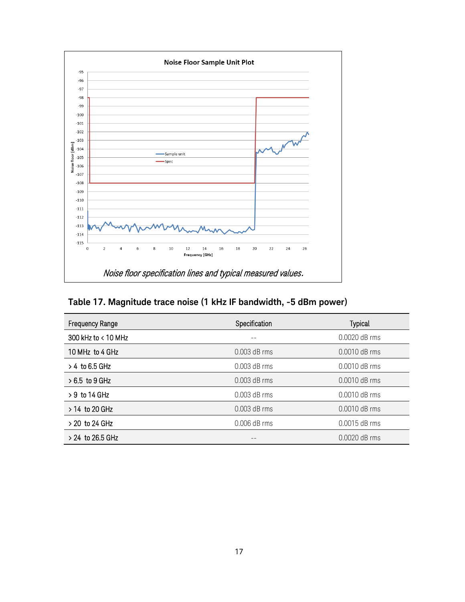

<span id="page-16-0"></span>

|  | Table 17. Magnitude trace noise (1 kHz IF bandwidth, -5 dBm power) |  |
|--|--------------------------------------------------------------------|--|
|--|--------------------------------------------------------------------|--|

| <b>Frequency Range</b> | Specification  | Typical       |
|------------------------|----------------|---------------|
| 300 kHz to $< 10$ MHz  |                | 0.0020 dB rms |
| 10 MHz to 4 GHz        | $0.003$ dB rms | 0.0010 dB rms |
| $> 4$ to 6.5 GHz       | $0.003$ dB rms | 0.0010 dB rms |
| $>6.5$ to 9 GHz        | $0.003$ dB rms | 0.0010 dB rms |
| $> 9$ to 14 GHz        | $0.003$ dB rms | 0.0010 dB rms |
| $> 14$ to 20 GHz       | $0.003$ dB rms | 0.0010 dB rms |
| $> 20$ to 24 GHz       | $0.006$ dB rms | 0.0015 dB rms |
| $> 24$ to 26.5 GHz     |                | 0.0020 dB rms |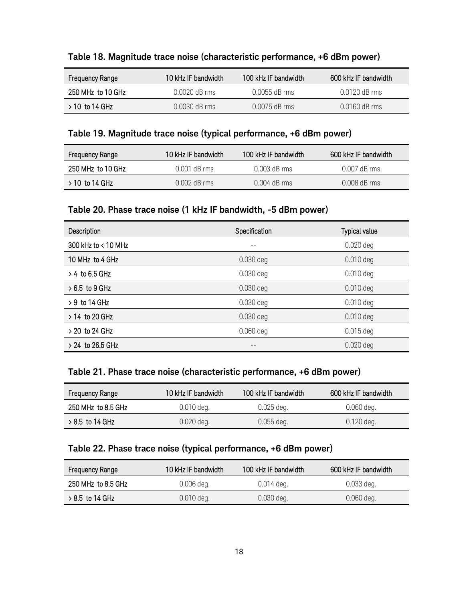<span id="page-17-0"></span>

| Table 18. Magnitude trace noise (characteristic performance, +6 dBm power) |  |  |  |
|----------------------------------------------------------------------------|--|--|--|
|----------------------------------------------------------------------------|--|--|--|

| Frequency Range   | 10 kHz IF bandwidth | 100 kHz IF bandwidth | 600 kHz IF bandwidth |
|-------------------|---------------------|----------------------|----------------------|
| 250 MHz to 10 GHz | $0.0020$ dB rms     | $0.0055$ dB rms      | 0.0120 dB rms        |
| $>10$ to 14 GHz   | $0.0030$ dB rms     | $0.0075$ dB rms      | $0.0160$ dB rms      |

#### <span id="page-17-1"></span>**Table 19. Magnitude trace noise (typical performance, +6 dBm power)**

| <b>Frequency Range</b> | 10 kHz IF bandwidth | 100 kHz IF bandwidth | 600 kHz IF bandwidth |
|------------------------|---------------------|----------------------|----------------------|
| 250 MHz to 10 GHz      | 0.001 dB rms        | $0.003$ dB rms       | $0.007$ dB rms       |
| $>$ 10 to 14 GHz       | $0.002$ dB rms      | $0.004$ dB rms       | $0.008$ dB rms       |

### <span id="page-17-2"></span>**Table 20. Phase trace noise (1 kHz IF bandwidth, -5 dBm power)**

| Description         | Specification | Typical value |
|---------------------|---------------|---------------|
| 300 kHz to < 10 MHz |               | $0.020$ deg   |
| 10 MHz to 4 GHz     | 0.030 deg     | $0.010$ deg   |
| $> 4$ to 6.5 GHz    | $0.030$ deg   | $0.010$ deg   |
| $>6.5$ to 9 GHz     | $0.030$ deg   | $0.010$ deg   |
| $> 9$ to 14 GHz     | $0.030$ deg   | $0.010$ deg   |
| > 14 to 20 GHz      | $0.030$ deg   | $0.010$ deg   |
| $> 20$ to 24 GHz    | $0.060$ deg   | $0.015$ deg   |
| $> 24$ to 26.5 GHz  |               | $0.020$ deg   |

#### <span id="page-17-3"></span>**Table 21. Phase trace noise (characteristic performance, +6 dBm power)**

| <b>Frequency Range</b> | 10 kHz IF bandwidth | 100 kHz IF bandwidth | 600 kHz IF bandwidth |
|------------------------|---------------------|----------------------|----------------------|
| 250 MHz to 8.5 GHz     | $0.010$ deg.        | $0.025$ deg.         | $0.060$ deg.         |
| $> 8.5$ to 14 GHz      | $0.020$ deg.        | $0.055$ deg.         | $0.120$ deg.         |

#### <span id="page-17-4"></span>**Table 22. Phase trace noise (typical performance, +6 dBm power)**

| <b>Frequency Range</b> | 10 kHz IF bandwidth | 100 kHz IF bandwidth | 600 kHz IF bandwidth |
|------------------------|---------------------|----------------------|----------------------|
| 250 MHz to 8.5 GHz     | $0.006$ deg.        | $0.014$ deg.         | $0.033$ deg.         |
| $>8.5$ to 14 GHz       | $0.010$ deg.        | $0.030$ deg.         | $0.060$ deg.         |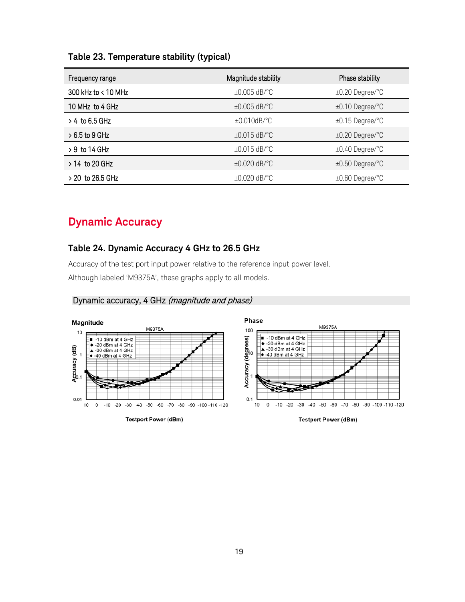<span id="page-18-0"></span>

|  | Table 23. Temperature stability (typical) |  |  |  |
|--|-------------------------------------------|--|--|--|
|--|-------------------------------------------|--|--|--|

| Frequency range       | Magnitude stability | Phase stability      |
|-----------------------|---------------------|----------------------|
| 300 kHz to $< 10$ MHz | $\pm 0.005$ dB/°C   | $\pm 0.20$ Degree/°C |
| 10 MHz to 4 GHz       | $\pm 0.005$ dB/°C   | $\pm 0.10$ Degree/°C |
| $>$ 4 to 6.5 GHz      | $\pm 0.010$ dB/°C   | $\pm 0.15$ Degree/°C |
| $>6.5$ to 9 GHz       | $\pm 0.015$ dB/°C   | $\pm 0.20$ Degree/°C |
| $>9$ to 14 GHz        | $\pm 0.015$ dB/°C   | $\pm 0.40$ Degree/°C |
| $> 14$ to 20 GHz      | $\pm 0.020$ dB/°C   | $\pm 0.50$ Degree/°C |
| $>$ 20 to 26.5 GHz    | $\pm 0.020$ dB/°C   | $\pm 0.60$ Degree/°C |

### <span id="page-18-1"></span>**Dynamic Accuracy**

#### <span id="page-18-2"></span>**Table 24. Dynamic Accuracy 4 GHz to 26.5 GHz**

Accuracy of the test port input power relative to the reference input power level.

Although labeled 'M9375A', these graphs apply to all models.



### Dynamic accuracy, 4 GHz (magnitude and phase)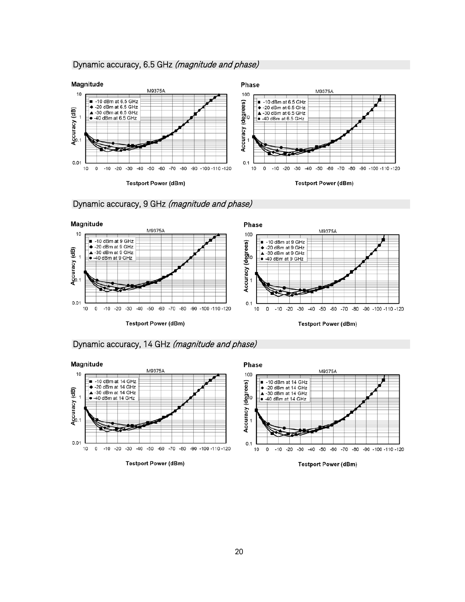#### Dynamic accuracy, 6.5 GHz (magnitude and phase)









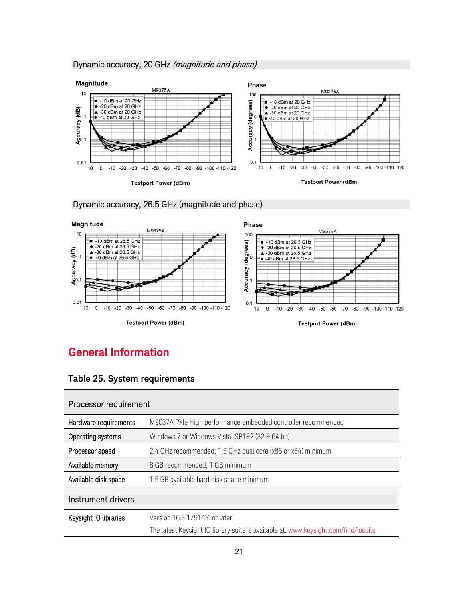#### Dynamic accuracy, 20 GHz (magnitude and phase)





#### Dynamic accuracy, 26.5 GHz (magnitude and phase)

### <span id="page-20-0"></span>**General Information**

#### <span id="page-20-1"></span>**Table 25. System requirements**

| Processor requirement |                                                                                     |  |
|-----------------------|-------------------------------------------------------------------------------------|--|
| Hardware requirements | M9037A PXIe High performance embedded controller recommended                        |  |
| Operating systems     | Windows 7 or Windows Vista, SP1&2 (32 & 64 bit)                                     |  |
| Processor speed       | 2.4 GHz recommended; 1.5 GHz dual core (x86 or x64) minimum                         |  |
| Available memory      | 8 GB recommended; 1 GB minimum                                                      |  |
| Available disk space  | 1.5 GB available hard disk space minimum                                            |  |
| Instrument drivers    |                                                                                     |  |
| Keysight IO libraries | Version 16.3.17914.4 or later                                                       |  |
|                       | The latest Keysight IO library suite is available at: www.keysight.com/find/iosuite |  |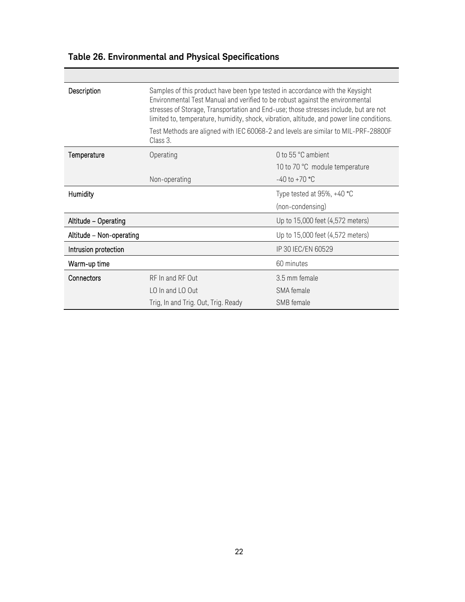| Description              | Samples of this product have been type tested in accordance with the Keysight<br>Environmental Test Manual and verified to be robust against the environmental<br>stresses of Storage, Transportation and End-use; those stresses include, but are not<br>limited to, temperature, humidity, shock, vibration, altitude, and power line conditions. |                                                                                    |  |
|--------------------------|-----------------------------------------------------------------------------------------------------------------------------------------------------------------------------------------------------------------------------------------------------------------------------------------------------------------------------------------------------|------------------------------------------------------------------------------------|--|
|                          | Class 3.                                                                                                                                                                                                                                                                                                                                            | Test Methods are aligned with IEC 60068-2 and levels are similar to MIL-PRF-28800F |  |
| Temperature              | Operating                                                                                                                                                                                                                                                                                                                                           | 0 to 55 °C ambient                                                                 |  |
|                          |                                                                                                                                                                                                                                                                                                                                                     | 10 to 70 °C module temperature                                                     |  |
|                          | Non-operating                                                                                                                                                                                                                                                                                                                                       | $-40$ to $+70$ °C                                                                  |  |
| Humidity                 |                                                                                                                                                                                                                                                                                                                                                     | Type tested at $95\%$ , $+40$ °C                                                   |  |
|                          |                                                                                                                                                                                                                                                                                                                                                     | (non-condensing)                                                                   |  |
| Altitude - Operating     |                                                                                                                                                                                                                                                                                                                                                     | Up to 15,000 feet (4,572 meters)                                                   |  |
| Altitude - Non-operating |                                                                                                                                                                                                                                                                                                                                                     | Up to 15,000 feet (4,572 meters)                                                   |  |
| Intrusion protection     |                                                                                                                                                                                                                                                                                                                                                     | IP 30 IEC/EN 60529                                                                 |  |
| Warm-up time             |                                                                                                                                                                                                                                                                                                                                                     | 60 minutes                                                                         |  |
| Connectors               | RF In and RF Out                                                                                                                                                                                                                                                                                                                                    | 3.5 mm female                                                                      |  |
|                          | LO In and LO Out                                                                                                                                                                                                                                                                                                                                    | SMA female                                                                         |  |
|                          | Trig, In and Trig. Out, Trig. Ready                                                                                                                                                                                                                                                                                                                 | SMB female                                                                         |  |

### <span id="page-21-0"></span>**Table 26. Environmental and Physical Specifications**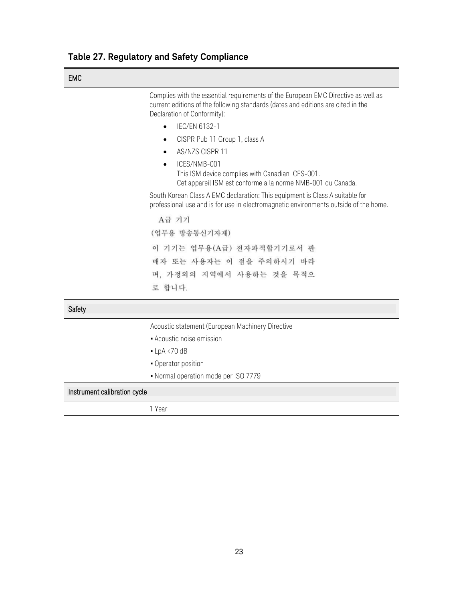<span id="page-22-0"></span>

| Table 27. Regulatory and Safety Compliance |  |  |
|--------------------------------------------|--|--|
|--------------------------------------------|--|--|

| ٠<br>.v |  |
|---------|--|
|---------|--|

 Complies with the essential requirements of the European EMC Directive as well as current editions of the following standards (dates and editions are cited in the Declaration of Conformity):

- IEC/EN 6132-1
- CISPR Pub 11 Group 1, class A
- AS/NZS CISPR 11
- ICES/NMB-001 This ISM device complies with Canadian ICES-001. Cet appareil ISM est conforme a la norme NMB-001 du Canada.

South Korean Class A EMC declaration: This equipment is Class A suitable for professional use and is for use in electromagnetic environments outside of the home.

A급 기기 (업무용 방송통신기자재) 이 기기는 업무용(A급) 전자파적합기기로서 판 매자 또는 사용자는 이 점을 주의하시기 바라 며, 가정외의 지역에서 사용하는 것을 목적으 로 합니다.

**Safety** 

Acoustic statement (European Machinery Directive

- **-** Acoustic noise emission
- $\blacksquare$  LpA <70 dB
- **Operator position**
- Normal operation mode per ISO 7779

Instrument calibration cycle

1 Year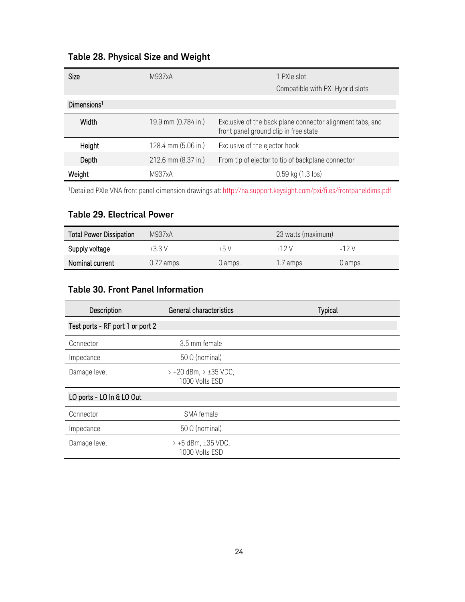| Size                    | M937xA              | 1 PXIe slot                                                                                        |
|-------------------------|---------------------|----------------------------------------------------------------------------------------------------|
|                         |                     | Compatible with PXI Hybrid slots                                                                   |
| Dimensions <sup>1</sup> |                     |                                                                                                    |
| Width                   | 19.9 mm (0.784 in.) | Exclusive of the back plane connector alignment tabs, and<br>front panel ground clip in free state |
| Height                  | 128.4 mm (5.06 in.) | Exclusive of the ejector hook                                                                      |
| Depth                   | 212.6 mm (8.37 in.) | From tip of ejector to tip of backplane connector                                                  |
| Weight                  | M937xA              | $0.59$ kg $(1.3$ lbs)                                                                              |

### <span id="page-23-0"></span>**Table 28. Physical Size and Weight**

1 Detailed PXIe VNA front panel dimension drawings at[: http://na.support.keysight.com/pxi/files/frontpaneldims.pdf](http://na.support.keysight.com/pxi/files/frontpaneldims.pdf)

### <span id="page-23-1"></span>**Table 29. Electrical Power**

| <b>Total Power Dissipation</b> | M937xA       |         | 23 watts (maximum) |         |  |
|--------------------------------|--------------|---------|--------------------|---------|--|
| Supply voltage                 | $+3.3V$      | $+5V$   | $+12V$             | $-12V$  |  |
| Nominal current                | $0.72$ amps. | 0 amps. | 1.7 amps           | 0 amps. |  |

### <span id="page-23-2"></span>**Table 30. Front Panel Information**

| Description                      | General characteristics                        | <b>Typical</b> |
|----------------------------------|------------------------------------------------|----------------|
| Test ports - RF port 1 or port 2 |                                                |                |
| Connector                        | 3.5 mm female                                  |                |
| Impedance                        | $50 \Omega$ (nominal)                          |                |
| Damage level                     | $> +20$ dBm, $> \pm 35$ VDC,<br>1000 Volts ESD |                |
| LO ports - LO In & LO Out        |                                                |                |
| Connector                        | SMA female                                     |                |
| Impedance                        | $50 \Omega$ (nominal)                          |                |
| Damage level                     | $> +5$ dBm, $\pm 35$ VDC,<br>1000 Volts ESD    |                |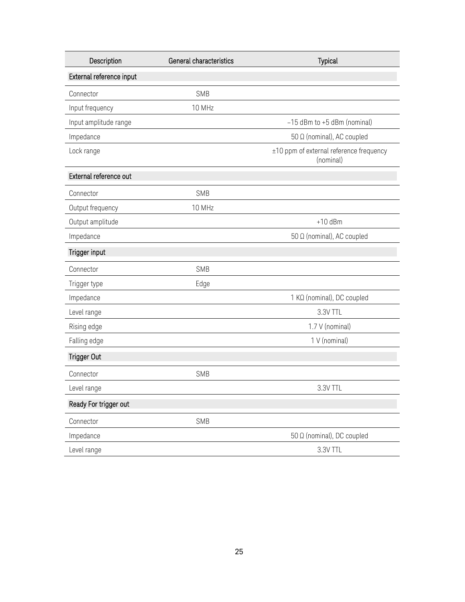| Description              | General characteristics<br><b>Typical</b> |                                                      |
|--------------------------|-------------------------------------------|------------------------------------------------------|
| External reference input |                                           |                                                      |
| Connector                | <b>SMB</b>                                |                                                      |
| Input frequency          | 10 MHz                                    |                                                      |
| Input amplitude range    |                                           | $-15$ dBm to $+5$ dBm (nominal)                      |
| Impedance                |                                           | 50 Ω (nominal), AC coupled                           |
| Lock range               |                                           | ±10 ppm of external reference frequency<br>(nominal) |
| External reference out   |                                           |                                                      |
| Connector                | <b>SMB</b>                                |                                                      |
| Output frequency         | 10 MHz                                    |                                                      |
| Output amplitude         |                                           | $+10$ dBm                                            |
| Impedance                |                                           | 50 Ω (nominal), AC coupled                           |
| Trigger input            |                                           |                                                      |
| Connector                | <b>SMB</b>                                |                                                      |
| Trigger type             | Edge                                      |                                                      |
| Impedance                |                                           | 1 KΩ (nominal), DC coupled                           |
| Level range              |                                           | 3.3V TTL                                             |
| Rising edge              |                                           | 1.7 V (nominal)                                      |
| Falling edge             |                                           | 1 V (nominal)                                        |
| <b>Trigger Out</b>       |                                           |                                                      |
| Connector                | <b>SMB</b>                                |                                                      |
| Level range              |                                           | 3.3V TTL                                             |
| Ready For trigger out    |                                           |                                                      |
| Connector                | SMB                                       |                                                      |
| Impedance                |                                           | 50 Ω (nominal), DC coupled                           |
| Level range              |                                           | 3.3V TTL                                             |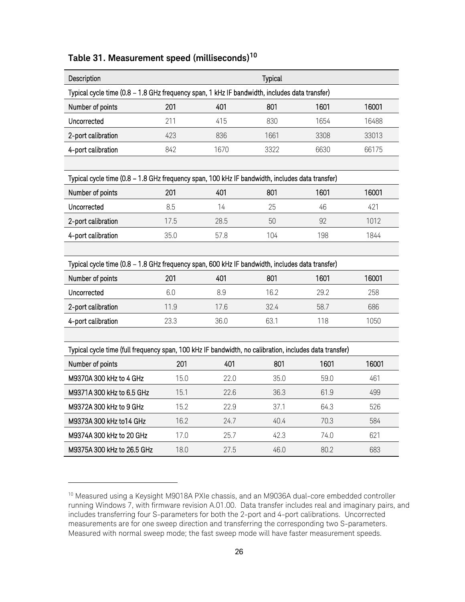<span id="page-25-0"></span>

| Table 31. Measurement speed (milliseconds) <sup>10</sup> |
|----------------------------------------------------------|
|----------------------------------------------------------|

| Description                                                                                            |      |      | Typical |      |       |
|--------------------------------------------------------------------------------------------------------|------|------|---------|------|-------|
| Typical cycle time (0.8 - 1.8 GHz frequency span, 1 kHz IF bandwidth, includes data transfer)          |      |      |         |      |       |
| Number of points                                                                                       | 201  | 401  | 801     | 1601 | 16001 |
| Uncorrected                                                                                            | 211  | 415  | 830     | 1654 | 16488 |
| 2-port calibration                                                                                     | 423  | 836  | 1661    | 3308 | 33013 |
| 4-port calibration                                                                                     | 842  | 1670 | 3322    | 6630 | 66175 |
|                                                                                                        |      |      |         |      |       |
| Typical cycle time (0.8 - 1.8 GHz frequency span, 100 kHz IF bandwidth, includes data transfer)        |      |      |         |      |       |
| Number of points                                                                                       | 201  | 401  | 801     | 1601 | 16001 |
| Uncorrected                                                                                            | 8.5  | 14   | 25      | 46   | 421   |
| 2-port calibration                                                                                     | 17.5 | 28.5 | 50      | 92   | 1012  |
| 4-port calibration                                                                                     | 35.0 | 57.8 | 104     | 198  | 1844  |
|                                                                                                        |      |      |         |      |       |
| Typical cycle time (0.8 - 1.8 GHz frequency span, 600 kHz IF bandwidth, includes data transfer)        |      |      |         |      |       |
| Number of points                                                                                       | 201  | 401  | 801     | 1601 | 16001 |
| Uncorrected                                                                                            | 6.0  | 8.9  | 16.2    | 29.2 | 258   |
| 2-port calibration                                                                                     | 11.9 | 17.6 | 32.4    | 58.7 | 686   |
| 4-port calibration                                                                                     | 23.3 | 36.0 | 63.1    | 118  | 1050  |
|                                                                                                        |      |      |         |      |       |
| Typical cycle time (full frequency span, 100 kHz IF bandwidth, no calibration, includes data transfer) |      |      |         |      |       |
| Number of points                                                                                       | 201  | 401  | 801     | 1601 | 16001 |
| M9370A 300 kHz to 4 GHz                                                                                | 15.0 | 22.0 | 35.0    | 59.0 | 461   |
| M9371A 300 kHz to 6.5 GHz                                                                              | 15.1 | 22.6 | 36.3    | 61.9 | 499   |
| M9372A 300 kHz to 9 GHz                                                                                | 15.2 | 22.9 | 37.1    | 64.3 | 526   |
| M9373A 300 kHz to14 GHz                                                                                | 16.2 | 24.7 | 40.4    | 70.3 | 584   |
| M9374A 300 kHz to 20 GHz                                                                               | 17.0 | 25.7 | 42.3    | 74.0 | 621   |
| M9375A 300 kHz to 26.5 GHz                                                                             | 18.0 | 27.5 | 46.0    | 80.2 | 683   |

-

<span id="page-25-1"></span><sup>&</sup>lt;sup>10</sup> Measured using a Keysight M9018A PXIe chassis, and an M9036A dual-core embedded controller running Windows 7, with firmware revision A.01.00. Data transfer includes real and imaginary pairs, and includes transferring four S-parameters for both the 2-port and 4-port calibrations. Uncorrected measurements are for one sweep direction and transferring the corresponding two S-parameters. Measured with normal sweep mode; the fast sweep mode will have faster measurement speeds.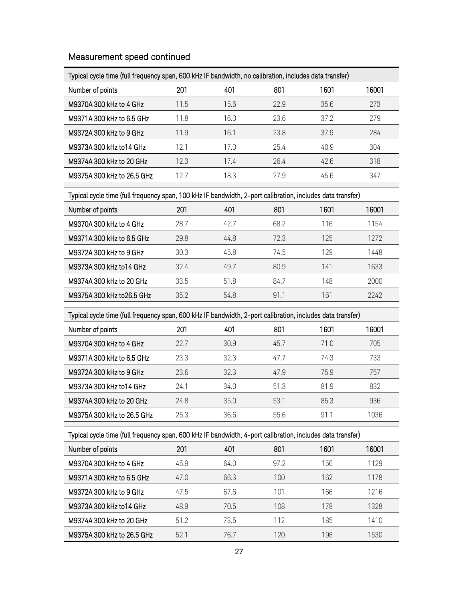### Measurement speed continued

| Typical cycle time (full frequency span, 600 kHz IF bandwidth, no calibration, includes data transfer) |      |      |      |      |       |  |
|--------------------------------------------------------------------------------------------------------|------|------|------|------|-------|--|
| Number of points                                                                                       | 201  | 401  | 801  | 1601 | 16001 |  |
| M9370A 300 kHz to 4 GHz                                                                                | 11.5 | 15.6 | 22.9 | 35.6 | 273   |  |
| M9371A 300 kHz to 6.5 GHz                                                                              | 11.8 | 16.0 | 23.6 | 37.2 | 279   |  |
| M9372A 300 kHz to 9 GHz                                                                                | 11.9 | 16.1 | 23.8 | 37.9 | 284   |  |
| M9373A 300 kHz to 14 GHz                                                                               | 121  | 17.0 | 25.4 | 40.9 | 304   |  |
| M9374A 300 kHz to 20 GHz                                                                               | 12.3 | 17.4 | 26.4 | 426  | 318   |  |
| M9375A 300 kHz to 26.5 GHz                                                                             | 12.7 | 18.3 | 27.9 | 45.6 | 347   |  |
|                                                                                                        |      |      |      |      |       |  |

### Typical cycle time (full frequency span, 100 kHz IF bandwidth, 2-port calibration, includes data transfer)

| Number of points           | 201  | 401  | 801  | 1601 | 16001 |
|----------------------------|------|------|------|------|-------|
| M9370A 300 kHz to 4 GHz    | 28.7 | 427  | 68.2 | 116  | 1154  |
| M9371A 300 kHz to 6.5 GHz  | 29.8 | 44.8 | 723  | 125  | 1272  |
| M9372A 300 kHz to 9 GHz    | 30.3 | 45.8 | 74.5 | 129  | 1448  |
| M9373A 300 kHz to 14 GHz   | 324  | 49.7 | 80.9 | 141  | 1633  |
| M9374A 300 kHz to 20 GHz   | 33.5 | 51.8 | 84.7 | 148  | 2000  |
| M9375A 300 kHz to 26.5 GHz | 35.2 | 54.8 | 911  | 161  | 2242  |

### Typical cycle time (full frequency span, 600 kHz IF bandwidth, 2-port calibration, includes data transfer)

| Number of points           | 201  | 401  | 801  | 1601 | 16001 |
|----------------------------|------|------|------|------|-------|
| M9370A 300 kHz to 4 GHz    | 22.7 | 30.9 | 45.7 | 71.0 | 705   |
| M9371A 300 kHz to 6.5 GHz  | 23.3 | 32.3 | 47.7 | 74.3 | 733   |
| M9372A 300 kHz to 9 GHz    | 23.6 | 32.3 | 47.9 | 75.9 | 757   |
| M9373A 300 kHz to 14 GHz   | 74.1 | 34.0 | 51.3 | 81.9 | 832   |
| M9374A 300 kHz to 20 GHz   | 24.8 | 35.0 | 53.1 | 85.3 | 936   |
| M9375A 300 kHz to 26.5 GHz | 25.3 | 36.6 | 55.6 | 91.1 | 1036  |

Typical cycle time (full frequency span, 600 kHz IF bandwidth, 4-port calibration, includes data transfer)

| Number of points           | 201  | 401  | 801  | 1601 | 16001 |
|----------------------------|------|------|------|------|-------|
| M9370A 300 kHz to 4 GHz    | 45.9 | 64.0 | 97.2 | 156  | 1129  |
| M9371A 300 kHz to 6.5 GHz  | 47.0 | 66.3 | 100  | 162  | 1178  |
| M9372A 300 kHz to 9 GHz    | 47.5 | 67.6 | 101  | 166  | 1216  |
| M9373A 300 kHz to 14 GHz   | 48.9 | 70.5 | 108  | 178  | 1328  |
| M9374A 300 kHz to 20 GHz   | 51.2 | 73.5 | 112  | 185  | 1410  |
| M9375A 300 kHz to 26.5 GHz | 521  | 76 7 | 120  | 198  | 1530  |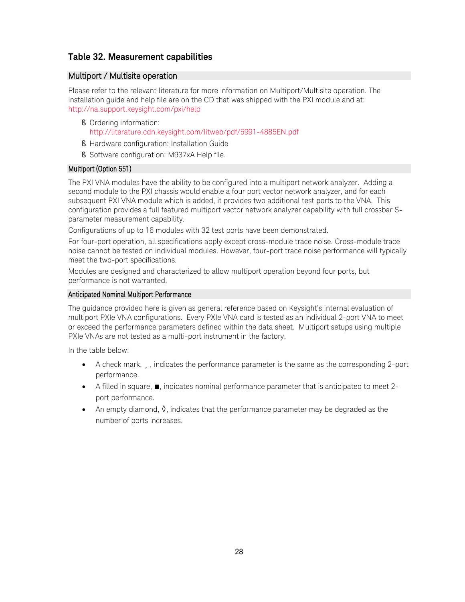#### <span id="page-27-1"></span>**Table 32. Measurement capabilities**

#### <span id="page-27-0"></span>Multiport / Multisite operation

Please refer to the relevant literature for more information on Multiport/Multisite operation. The installation guide and help file are on the CD that was shipped with the PXI module and at: <http://na.support.keysight.com/pxi/help>

- § Ordering information: <http://literature.cdn.keysight.com/litweb/pdf/5991-4885EN.pdf>
- § Hardware configuration: Installation Guide
- § Software configuration: M937xA Help file.

#### Multiport (Option 551)

The PXI VNA modules have the ability to be configured into a multiport network analyzer. Adding a second module to the PXI chassis would enable a four port vector network analyzer, and for each subsequent PXI VNA module which is added, it provides two additional test ports to the VNA. This configuration provides a full featured multiport vector network analyzer capability with full crossbar Sparameter measurement capability.

Configurations of up to 16 modules with 32 test ports have been demonstrated.

For four-port operation, all specifications apply except cross-module trace noise. Cross-module trace noise cannot be tested on individual modules. However, four-port trace noise performance will typically meet the two-port specifications.

Modules are designed and characterized to allow multiport operation beyond four ports, but performance is not warranted.

#### Anticipated Nominal Multiport Performance

The guidance provided here is given as general reference based on Keysight's internal evaluation of multiport PXIe VNA configurations. Every PXIe VNA card is tested as an individual 2-port VNA to meet or exceed the performance parameters defined within the data sheet. Multiport setups using multiple PXIe VNAs are not tested as a multi-port instrument in the factory.

In the table below:

- A check mark,  $\ddot{u}$ , indicates the performance parameter is the same as the corresponding 2-port performance.
- A filled in square, ■, indicates nominal performance parameter that is anticipated to meet 2 port performance.
- An empty diamond,  $\Diamond$ , indicates that the performance parameter may be degraded as the number of ports increases.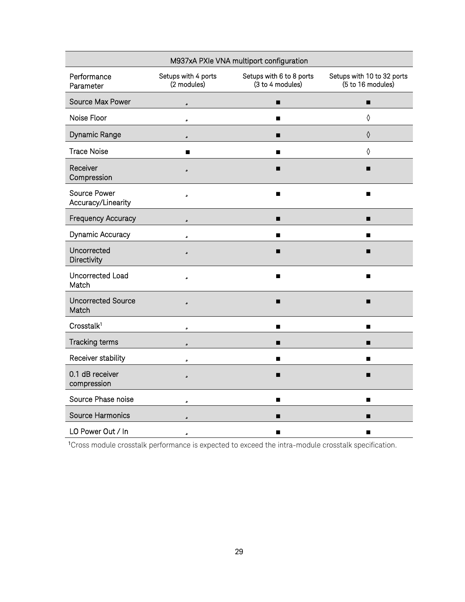| M937xA PXIe VNA multiport configuration |                                    |                                              |                                                 |  |  |  |  |
|-----------------------------------------|------------------------------------|----------------------------------------------|-------------------------------------------------|--|--|--|--|
| Performance<br>Parameter                | Setups with 4 ports<br>(2 modules) | Setups with 6 to 8 ports<br>(3 to 4 modules) | Setups with 10 to 32 ports<br>(5 to 16 modules) |  |  |  |  |
| Source Max Power                        | ü                                  | ■                                            | ■                                               |  |  |  |  |
| Noise Floor                             | ü                                  | п                                            | $\Diamond$                                      |  |  |  |  |
| Dynamic Range                           | ü                                  | п                                            | $\Diamond$                                      |  |  |  |  |
| <b>Trace Noise</b>                      | ٠                                  | ٠                                            | ♦                                               |  |  |  |  |
| Receiver<br>Compression                 | ü                                  | ■                                            | ■                                               |  |  |  |  |
| Source Power<br>Accuracy/Linearity      | ü                                  | ▬                                            | ■                                               |  |  |  |  |
| <b>Frequency Accuracy</b>               | ü                                  | ■                                            | п                                               |  |  |  |  |
| Dynamic Accuracy                        | ü                                  | п                                            | п                                               |  |  |  |  |
| Uncorrected<br>Directivity              | ü                                  | ■                                            |                                                 |  |  |  |  |
| Uncorrected Load<br>Match               | ü                                  | п                                            | ■                                               |  |  |  |  |
| <b>Uncorrected Source</b><br>Match      | ü                                  | ■                                            | п                                               |  |  |  |  |
| Crosstalk <sup>1</sup>                  | ü                                  | $\blacksquare$                               | ▬                                               |  |  |  |  |
| Tracking terms                          | ü                                  | п                                            | ▬                                               |  |  |  |  |
| Receiver stability                      | ü                                  | п                                            | п                                               |  |  |  |  |
| 0.1 dB receiver<br>compression          | ü                                  | ■                                            |                                                 |  |  |  |  |
| Source Phase noise                      | ü                                  | п                                            | п                                               |  |  |  |  |
| <b>Source Harmonics</b>                 | ü                                  | П                                            | ▬                                               |  |  |  |  |
| LO Power Out / In                       | ü                                  | ▬                                            |                                                 |  |  |  |  |

1 Cross module crosstalk performance is expected to exceed the intra-module crosstalk specification.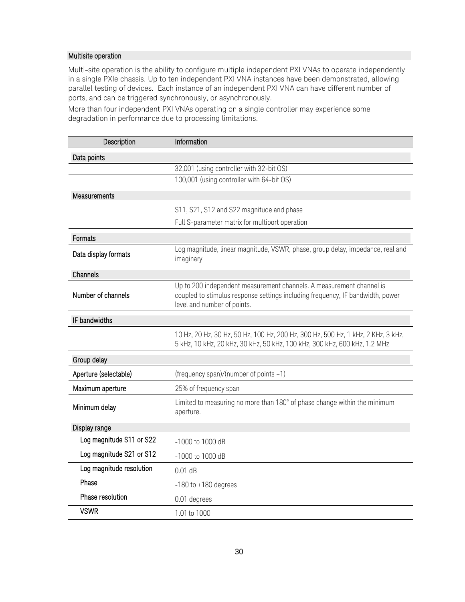#### Multisite operation

Multi-site operation is the ability to configure multiple independent PXI VNAs to operate independently in a single PXIe chassis. Up to ten independent PXI VNA instances have been demonstrated, allowing parallel testing of devices. Each instance of an independent PXI VNA can have different number of ports, and can be triggered synchronously, or asynchronously.

More than four independent PXI VNAs operating on a single controller may experience some degradation in performance due to processing limitations.

| Description              | Information                                                                                                                                                                           |
|--------------------------|---------------------------------------------------------------------------------------------------------------------------------------------------------------------------------------|
| Data points              |                                                                                                                                                                                       |
|                          | 32,001 (using controller with 32-bit OS)                                                                                                                                              |
|                          | 100,001 (using controller with 64-bit OS)                                                                                                                                             |
| Measurements             |                                                                                                                                                                                       |
|                          | S11, S21, S12 and S22 magnitude and phase                                                                                                                                             |
|                          | Full S-parameter matrix for multiport operation                                                                                                                                       |
| Formats                  |                                                                                                                                                                                       |
| Data display formats     | Log magnitude, linear magnitude, VSWR, phase, group delay, impedance, real and<br>imaginary                                                                                           |
| Channels                 |                                                                                                                                                                                       |
| Number of channels       | Up to 200 independent measurement channels. A measurement channel is<br>coupled to stimulus response settings including frequency, IF bandwidth, power<br>level and number of points. |
| IF bandwidths            |                                                                                                                                                                                       |
|                          | 10 Hz, 20 Hz, 30 Hz, 50 Hz, 100 Hz, 200 Hz, 300 Hz, 500 Hz, 1 kHz, 2 KHz, 3 kHz,<br>5 kHz, 10 kHz, 20 kHz, 30 kHz, 50 kHz, 100 kHz, 300 kHz, 600 kHz, 1.2 MHz                         |
| Group delay              |                                                                                                                                                                                       |
| Aperture (selectable)    | (frequency span)/(number of points -1)                                                                                                                                                |
| Maximum aperture         | 25% of frequency span                                                                                                                                                                 |
| Minimum delay            | Limited to measuring no more than 180° of phase change within the minimum<br>aperture.                                                                                                |
| Display range            |                                                                                                                                                                                       |
| Log magnitude S11 or S22 | -1000 to 1000 dB                                                                                                                                                                      |
| Log magnitude S21 or S12 | -1000 to 1000 dB                                                                                                                                                                      |
| Log magnitude resolution | $0.01$ dB                                                                                                                                                                             |
| Phase                    | $-180$ to $+180$ degrees                                                                                                                                                              |
| Phase resolution         | 0.01 degrees                                                                                                                                                                          |
| <b>VSWR</b>              | 1.01 to 1000                                                                                                                                                                          |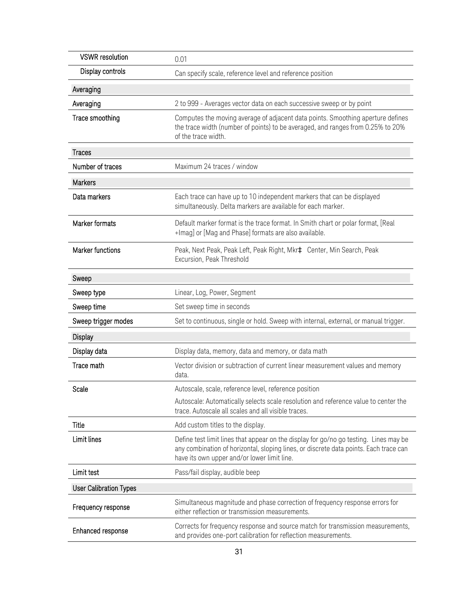| <b>VSWR</b> resolution        | 0.01                                                                                                                                                                                                                          |
|-------------------------------|-------------------------------------------------------------------------------------------------------------------------------------------------------------------------------------------------------------------------------|
| Display controls              | Can specify scale, reference level and reference position                                                                                                                                                                     |
| Averaging                     |                                                                                                                                                                                                                               |
| Averaging                     | 2 to 999 - Averages vector data on each successive sweep or by point                                                                                                                                                          |
| Trace smoothing               | Computes the moving average of adjacent data points. Smoothing aperture defines<br>the trace width (number of points) to be averaged, and ranges from 0.25% to 20%<br>of the trace width.                                     |
| <b>Traces</b>                 |                                                                                                                                                                                                                               |
| Number of traces              | Maximum 24 traces / window                                                                                                                                                                                                    |
| Markers                       |                                                                                                                                                                                                                               |
| Data markers                  | Each trace can have up to 10 independent markers that can be displayed<br>simultaneously. Delta markers are available for each marker.                                                                                        |
| Marker formats                | Default marker format is the trace format. In Smith chart or polar format, [Real<br>+Imag] or [Mag and Phase] formats are also available.                                                                                     |
| <b>Marker functions</b>       | Peak, Next Peak, Peak Left, Peak Right, Mkra Center, Min Search, Peak<br>Excursion, Peak Threshold                                                                                                                            |
| Sweep                         |                                                                                                                                                                                                                               |
| Sweep type                    | Linear, Log, Power, Segment                                                                                                                                                                                                   |
| Sweep time                    | Set sweep time in seconds                                                                                                                                                                                                     |
| Sweep trigger modes           | Set to continuous, single or hold. Sweep with internal, external, or manual trigger.                                                                                                                                          |
| <b>Display</b>                |                                                                                                                                                                                                                               |
| Display data                  | Display data, memory, data and memory, or data math                                                                                                                                                                           |
| Trace math                    | Vector division or subtraction of current linear measurement values and memory<br>data.                                                                                                                                       |
| Scale                         | Autoscale, scale, reference level, reference position                                                                                                                                                                         |
|                               | Autoscale: Automatically selects scale resolution and reference value to center the<br>trace. Autoscale all scales and all visible traces.                                                                                    |
| Title                         | Add custom titles to the display.                                                                                                                                                                                             |
| Limit lines                   | Define test limit lines that appear on the display for go/no go testing. Lines may be<br>any combination of horizontal, sloping lines, or discrete data points. Each trace can<br>have its own upper and/or lower limit line. |
| Limit test                    | Pass/fail display, audible beep                                                                                                                                                                                               |
| <b>User Calibration Types</b> |                                                                                                                                                                                                                               |
| Frequency response            | Simultaneous magnitude and phase correction of frequency response errors for<br>either reflection or transmission measurements.                                                                                               |
| Enhanced response             | Corrects for frequency response and source match for transmission measurements,<br>and provides one-port calibration for reflection measurements.                                                                             |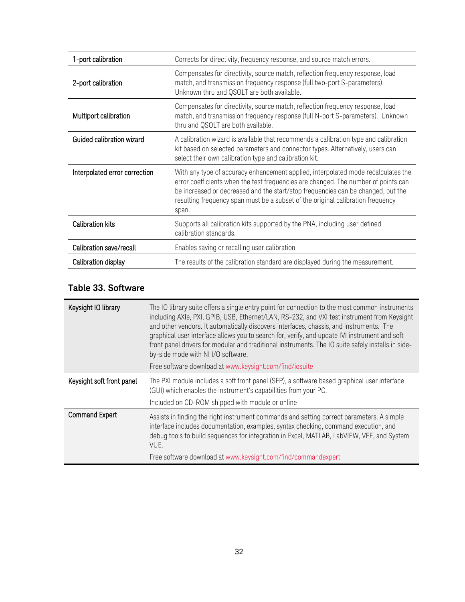| 1-port calibration            | Corrects for directivity, frequency response, and source match errors.                                                                                                                                                                                                                                                                                  |
|-------------------------------|---------------------------------------------------------------------------------------------------------------------------------------------------------------------------------------------------------------------------------------------------------------------------------------------------------------------------------------------------------|
| 2-port calibration            | Compensates for directivity, source match, reflection frequency response, load<br>match, and transmission frequency response (full two-port S-parameters).<br>Unknown thru and QSOLT are both available.                                                                                                                                                |
| Multiport calibration         | Compensates for directivity, source match, reflection frequency response, load<br>match, and transmission frequency response (full N-port S-parameters). Unknown<br>thru and QSOLT are both available.                                                                                                                                                  |
| Guided calibration wizard     | A calibration wizard is available that recommends a calibration type and calibration<br>kit based on selected parameters and connector types. Alternatively, users can<br>select their own calibration type and calibration kit.                                                                                                                        |
| Interpolated error correction | With any type of accuracy enhancement applied, interpolated mode recalculates the<br>error coefficients when the test frequencies are changed. The number of points can<br>be increased or decreased and the start/stop frequencies can be changed, but the<br>resulting frequency span must be a subset of the original calibration frequency<br>span. |
| <b>Calibration kits</b>       | Supports all calibration kits supported by the PNA, including user defined<br>calibration standards.                                                                                                                                                                                                                                                    |
| Calibration save/recall       | Enables saving or recalling user calibration                                                                                                                                                                                                                                                                                                            |
| Calibration display           | The results of the calibration standard are displayed during the measurement.                                                                                                                                                                                                                                                                           |

### <span id="page-31-0"></span>**Table 33. Software**

| Keysight IO library       | The IO library suite offers a single entry point for connection to the most common instruments<br>including AXIe, PXI, GPIB, USB, Ethernet/LAN, RS-232, and VXI test instrument from Keysight<br>and other vendors. It automatically discovers interfaces, chassis, and instruments. The<br>graphical user interface allows you to search for, verify, and update IVI instrument and soft<br>front panel drivers for modular and traditional instruments. The IO suite safely installs in side-<br>by-side mode with NI I/O software.<br>Free software download at www.keysight.com/find/iosuite |
|---------------------------|--------------------------------------------------------------------------------------------------------------------------------------------------------------------------------------------------------------------------------------------------------------------------------------------------------------------------------------------------------------------------------------------------------------------------------------------------------------------------------------------------------------------------------------------------------------------------------------------------|
| Keysight soft front panel | The PXI module includes a soft front panel (SFP), a software based graphical user interface<br>(GUI) which enables the instrument's capabilities from your PC.<br>Included on CD-ROM shipped with module or online                                                                                                                                                                                                                                                                                                                                                                               |
| <b>Command Expert</b>     | Assists in finding the right instrument commands and setting correct parameters. A simple<br>interface includes documentation, examples, syntax checking, command execution, and<br>debug tools to build sequences for integration in Excel, MATLAB, LabVIEW, VEE, and System<br>VUE.<br>Free software download at www.keysight.com/find/commandexpert                                                                                                                                                                                                                                           |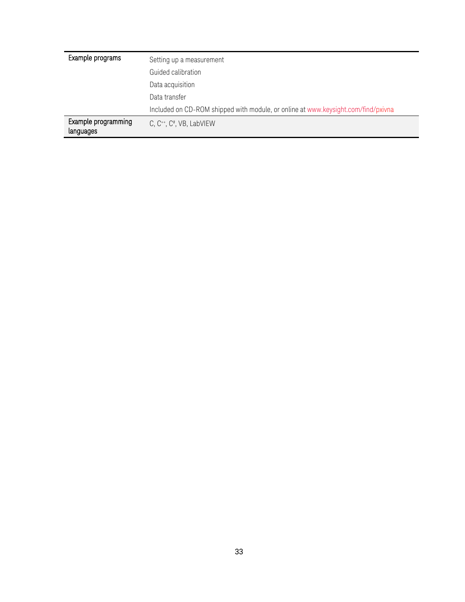| Example programs                 | Setting up a measurement<br>Guided calibration                                    |
|----------------------------------|-----------------------------------------------------------------------------------|
|                                  | Data acquisition                                                                  |
|                                  | Data transfer                                                                     |
|                                  | Included on CD-ROM shipped with module, or online at www.keysight.com/find/pxivna |
| Example programming<br>languages | C, $C^{++}$ , $C^+$ , VB, LabVIEW                                                 |